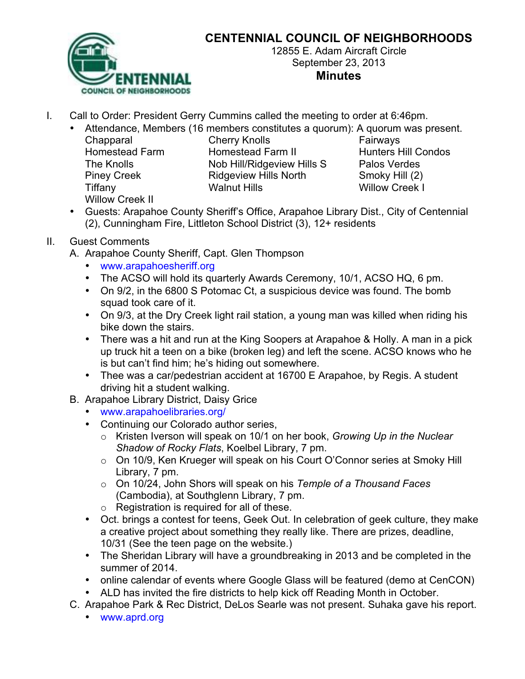

## **CENTENNIAL COUNCIL OF NEIGHBORHOODS**

12855 E. Adam Aircraft Circle September 23, 2013 **Minutes**

I. Call to Order: President Gerry Cummins called the meeting to order at 6:46pm.

• Attendance, Members (16 members constitutes a quorum): A quorum was present.

Willow Creek II

Chapparal Cherry Knolls **Fairways** Homestead Farm Homestead Farm II Hunters Hill Condos The Knolls Nob Hill/Ridgeview Hills S Palos Verdes Piney Creek **Ridgeview Hills North** Smoky Hill (2) Tiffany Walnut Hills Willow Creek I

- Guests: Arapahoe County Sheriff's Office, Arapahoe Library Dist., City of Centennial (2), Cunningham Fire, Littleton School District (3), 12+ residents
- II. Guest Comments
	- A. Arapahoe County Sheriff, Capt. Glen Thompson
		- www.arapahoesheriff.org
		- The ACSO will hold its quarterly Awards Ceremony, 10/1, ACSO HQ, 6 pm.
		- On 9/2, in the 6800 S Potomac Ct, a suspicious device was found. The bomb squad took care of it.
		- On 9/3, at the Dry Creek light rail station, a young man was killed when riding his bike down the stairs.
		- There was a hit and run at the King Soopers at Arapahoe & Holly. A man in a pick up truck hit a teen on a bike (broken leg) and left the scene. ACSO knows who he is but can't find him; he's hiding out somewhere.
		- Thee was a car/pedestrian accident at 16700 E Arapahoe, by Regis. A student driving hit a student walking.
	- B. Arapahoe Library District, Daisy Grice
		- www.arapahoelibraries.org/
		- Continuing our Colorado author series,
			- o Kristen Iverson will speak on 10/1 on her book, *Growing Up in the Nuclear Shadow of Rocky Flats*, Koelbel Library, 7 pm.
			- o On 10/9, Ken Krueger will speak on his Court O'Connor series at Smoky Hill Library, 7 pm.
			- o On 10/24, John Shors will speak on his *Temple of a Thousand Faces* (Cambodia), at Southglenn Library, 7 pm.
			- $\circ$  Registration is required for all of these.
		- Oct. brings a contest for teens, Geek Out. In celebration of geek culture, they make a creative project about something they really like. There are prizes, deadline, 10/31 (See the teen page on the website.)
		- The Sheridan Library will have a groundbreaking in 2013 and be completed in the summer of 2014.
		- online calendar of events where Google Glass will be featured (demo at CenCON)
		- ALD has invited the fire districts to help kick off Reading Month in October.
	- C. Arapahoe Park & Rec District, DeLos Searle was not present. Suhaka gave his report.
		- www.aprd.org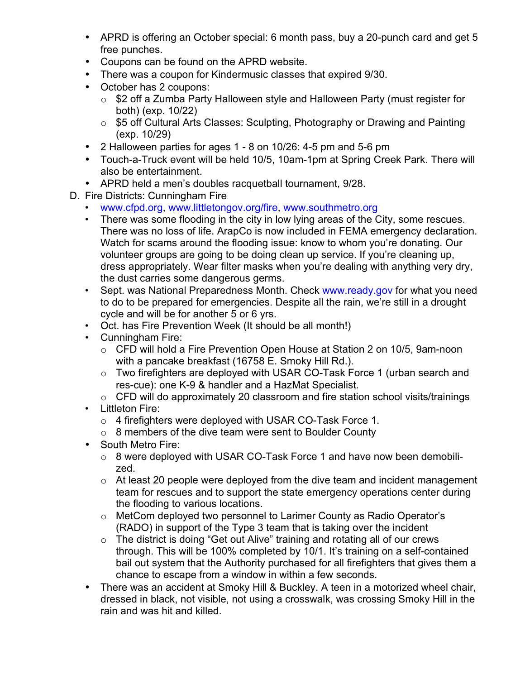- APRD is offering an October special: 6 month pass, buy a 20-punch card and get 5 free punches.
- Coupons can be found on the APRD website.
- There was a coupon for Kindermusic classes that expired 9/30.
- October has 2 coupons:
	- o \$2 off a Zumba Party Halloween style and Halloween Party (must register for both) (exp. 10/22)
	- o \$5 off Cultural Arts Classes: Sculpting, Photography or Drawing and Painting (exp. 10/29)
- 2 Halloween parties for ages 1 8 on 10/26: 4-5 pm and 5-6 pm
- Touch-a-Truck event will be held 10/5, 10am-1pm at Spring Creek Park. There will also be entertainment.
- APRD held a men's doubles racquetball tournament, 9/28.
- D. Fire Districts: Cunningham Fire
	- www.cfpd.org, www.littletongov.org/fire, www.southmetro.org
	- There was some flooding in the city in low lying areas of the City, some rescues. There was no loss of life. ArapCo is now included in FEMA emergency declaration. Watch for scams around the flooding issue: know to whom you're donating. Our volunteer groups are going to be doing clean up service. If you're cleaning up, dress appropriately. Wear filter masks when you're dealing with anything very dry, the dust carries some dangerous germs.
	- Sept. was National Preparedness Month. Check www.ready.gov for what you need to do to be prepared for emergencies. Despite all the rain, we're still in a drought cycle and will be for another 5 or 6 yrs.
	- Oct. has Fire Prevention Week (It should be all month!)
	- Cunningham Fire:
		- o CFD will hold a Fire Prevention Open House at Station 2 on 10/5, 9am-noon with a pancake breakfast (16758 E. Smoky Hill Rd.).
		- o Two firefighters are deployed with USAR CO-Task Force 1 (urban search and res-cue): one K-9 & handler and a HazMat Specialist.
		- o CFD will do approximately 20 classroom and fire station school visits/trainings
	- Littleton Fire:
		- o 4 firefighters were deployed with USAR CO-Task Force 1.
		- o 8 members of the dive team were sent to Boulder County
	- South Metro Fire:
		- o 8 were deployed with USAR CO-Task Force 1 and have now been demobilized.
		- $\circ$  At least 20 people were deployed from the dive team and incident management team for rescues and to support the state emergency operations center during the flooding to various locations.
		- o MetCom deployed two personnel to Larimer County as Radio Operator's (RADO) in support of the Type 3 team that is taking over the incident
		- o The district is doing "Get out Alive" training and rotating all of our crews through. This will be 100% completed by 10/1. It's training on a self-contained bail out system that the Authority purchased for all firefighters that gives them a chance to escape from a window in within a few seconds.
	- There was an accident at Smoky Hill & Buckley. A teen in a motorized wheel chair, dressed in black, not visible, not using a crosswalk, was crossing Smoky Hill in the rain and was hit and killed.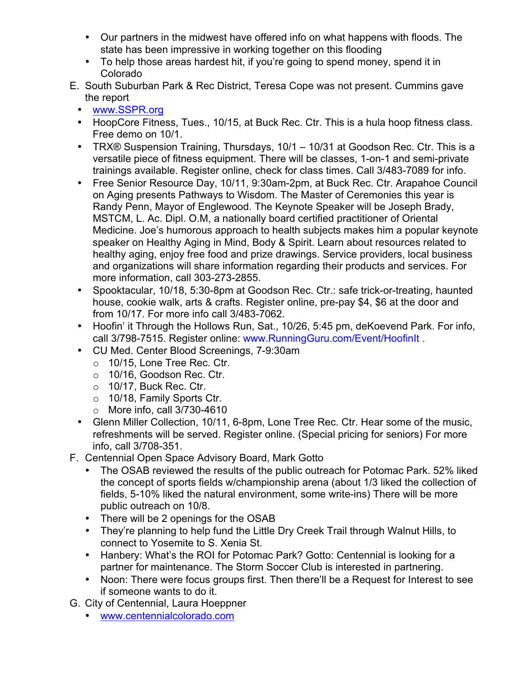- Our partners in the midwest have offered info on what happens with floods. The state has been impressive in working together on this flooding
- To help those areas hardest hit, if you're going to spend money, spend it in Colorado
- E. South Suburban Park & Rec District, Teresa Cope was not present. Cummins gave the report
	- www.SSPR.org
	- HoopCore Fitness, Tues., 10/15, at Buck Rec. Ctr. This is a hula hoop fitness class. Free demo on 10/1.
	- TRX® Suspension Training, Thursdays, 10/1 10/31 at Goodson Rec. Ctr. This is a versatile piece of fitness equipment. There will be classes, 1-on-1 and semi-private trainings available. Register online, check for class times. Call 3/483-7089 for info.
	- Free Senior Resource Day, 10/11, 9:30am-2pm, at Buck Rec. Ctr. Arapahoe Council on Aging presents Pathways to Wisdom. The Master of Ceremonies this year is Randy Penn, Mayor of Englewood. The Keynote Speaker will be Joseph Brady, MSTCM, L. Ac. Dipl. O.M, a nationally board certified practitioner of Oriental Medicine. Joe's humorous approach to health subjects makes him a popular keynote speaker on Healthy Aging in Mind, Body & Spirit. Learn about resources related to healthy aging, enjoy free food and prize drawings. Service providers, local business and organizations will share information regarding their products and services. For more information, call 303-273-2855.
	- Spooktacular, 10/18, 5:30-8pm at Goodson Rec. Ctr.: safe trick-or-treating, haunted house, cookie walk, arts & crafts. Register online, pre-pay \$4, \$6 at the door and from 10/17. For more info call 3/483-7062.
	- Hoofin' it Through the Hollows Run, Sat., 10/26, 5:45 pm, deKoevend Park. For info, call 3/798-7515. Register online: www.RunningGuru.com/Event/HoofinIt .
	- CU Med. Center Blood Screenings, 7-9:30am
		- o 10/15, Lone Tree Rec. Ctr.
		- o 10/16, Goodson Rec. Ctr.
		- $\circ$  10/17, Buck Rec. Ctr.
		- o 10/18, Family Sports Ctr.
		- o More info, call 3/730-4610
	- Glenn Miller Collection, 10/11, 6-8pm, Lone Tree Rec. Ctr. Hear some of the music, refreshments will be served. Register online. (Special pricing for seniors) For more info, call 3/708-351.
- F. Centennial Open Space Advisory Board, Mark Gotto
	- The OSAB reviewed the results of the public outreach for Potomac Park. 52% liked the concept of sports fields w/championship arena (about 1/3 liked the collection of fields, 5-10% liked the natural environment, some write-ins) There will be more public outreach on 10/8.
	- There will be 2 openings for the OSAB
	- They're planning to help fund the Little Dry Creek Trail through Walnut Hills, to connect to Yosemite to S. Xenia St.
	- Hanbery: What's the ROI for Potomac Park? Gotto: Centennial is looking for a partner for maintenance. The Storm Soccer Club is interested in partnering.
	- Noon: There were focus groups first. Then there'll be a Request for Interest to see if someone wants to do it.
- G. City of Centennial, Laura Hoeppner
	- www.centennialcolorado.com